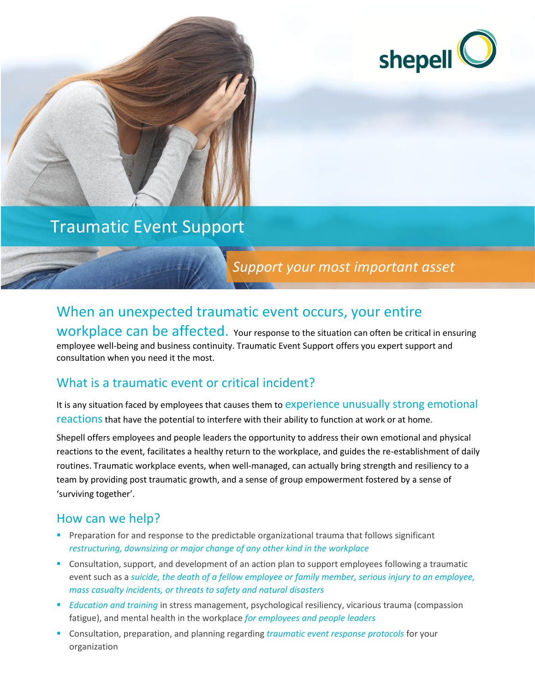

# Traumatic Event Support

# *Support your most important asset*

# When an unexpected traumatic event occurs, your entire

workplace can be affected. Your response to the situation can often be critical in ensuring employee well-being and business continuity. Traumatic Event Support offers you expert support and consultation when you need it the most.

## What is a traumatic event or critical incident?

It is any situation faced by employees that causes them to experience unusually strong emotional reactions that have the potential to interfere with their ability to function at work or at home.

Shepell offers employees and people leaders the opportunity to address their own emotional and physical reactions to the event, facilitates a healthy return to the workplace, and guides the re-establishment of daily routines. Traumatic workplace events, when well-managed, can actually bring strength and resiliency to a team by providing post traumatic growth, and a sense of group empowerment fostered by a sense of 'surviving together'.

#### How can we help?

- Preparation for and response to the predictable organizational trauma that follows significant *restructuring, downsizing or major change of any other kind in the workplace*
- Consultation, support, and development of an action plan to support employees following a traumatic event such as a *suicide, the death of a fellow employee or family member, serious injury to an employee, mass casualty incidents, or threats to safety and natural disasters*
- *Education and training* in stress management, psychological resiliency, vicarious trauma (compassion fatigue), and mental health in the workplace *for employees and people leaders*
- Consultation, preparation, and planning regarding *traumatic event response protocols* for your organization